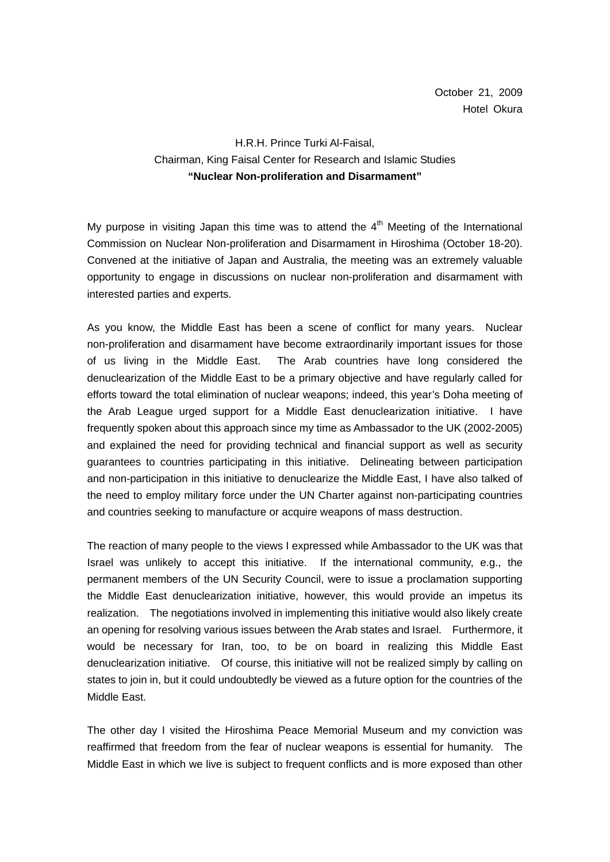## H.R.H. Prince Turki Al-Faisal, Chairman, King Faisal Center for Research and Islamic Studies **"Nuclear Non-proliferation and Disarmament"**

My purpose in visiting Japan this time was to attend the  $4<sup>th</sup>$  Meeting of the International Commission on Nuclear Non-proliferation and Disarmament in Hiroshima (October 18-20). Convened at the initiative of Japan and Australia, the meeting was an extremely valuable opportunity to engage in discussions on nuclear non-proliferation and disarmament with interested parties and experts.

As you know, the Middle East has been a scene of conflict for many years. Nuclear non-proliferation and disarmament have become extraordinarily important issues for those of us living in the Middle East. The Arab countries have long considered the denuclearization of the Middle East to be a primary objective and have regularly called for efforts toward the total elimination of nuclear weapons; indeed, this year's Doha meeting of the Arab League urged support for a Middle East denuclearization initiative. I have frequently spoken about this approach since my time as Ambassador to the UK (2002-2005) and explained the need for providing technical and financial support as well as security guarantees to countries participating in this initiative. Delineating between participation and non-participation in this initiative to denuclearize the Middle East, I have also talked of the need to employ military force under the UN Charter against non-participating countries and countries seeking to manufacture or acquire weapons of mass destruction.

The reaction of many people to the views I expressed while Ambassador to the UK was that Israel was unlikely to accept this initiative. If the international community, e.g., the permanent members of the UN Security Council, were to issue a proclamation supporting the Middle East denuclearization initiative, however, this would provide an impetus its realization. The negotiations involved in implementing this initiative would also likely create an opening for resolving various issues between the Arab states and Israel. Furthermore, it would be necessary for Iran, too, to be on board in realizing this Middle East denuclearization initiative. Of course, this initiative will not be realized simply by calling on states to join in, but it could undoubtedly be viewed as a future option for the countries of the Middle East.

The other day I visited the Hiroshima Peace Memorial Museum and my conviction was reaffirmed that freedom from the fear of nuclear weapons is essential for humanity. The Middle East in which we live is subject to frequent conflicts and is more exposed than other